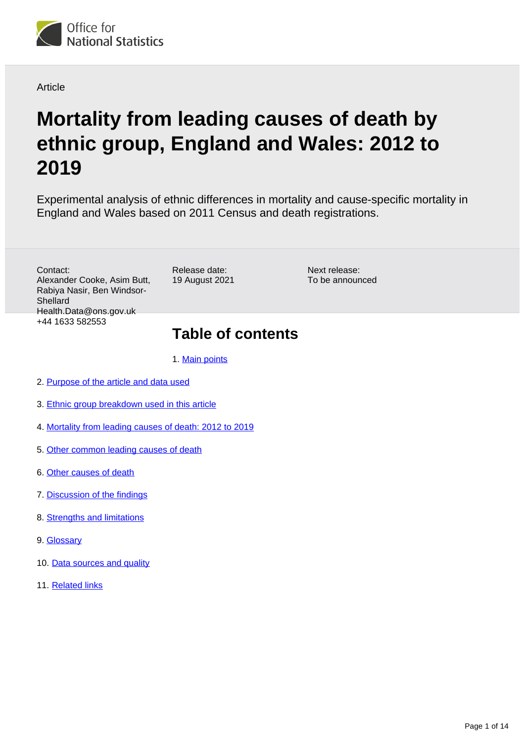

### **Article**

# **Mortality from leading causes of death by ethnic group, England and Wales: 2012 to 2019**

Experimental analysis of ethnic differences in mortality and cause-specific mortality in England and Wales based on 2011 Census and death registrations.

Contact: Alexander Cooke, Asim Butt, Rabiya Nasir, Ben Windsor-Shellard Health.Data@ons.gov.uk +44 1633 582553

Release date: 19 August 2021

Next release: To be announced

## **Table of contents**

1. [Main points](#page-1-0)

- 2. [Purpose of the article and data used](#page-2-0)
- 3. [Ethnic group breakdown used in this article](#page-2-1)
- 4. [Mortality from leading causes of death: 2012 to 2019](#page-3-0)
- 5. [Other common leading causes of death](#page-7-0)
- 6. [Other causes of death](#page-8-0)
- 7. [Discussion of the findings](#page-10-0)
- 8. [Strengths and limitations](#page-10-1)
- 9. [Glossary](#page-11-0)
- 10. [Data sources and quality](#page-11-1)
- 11. [Related links](#page-13-0)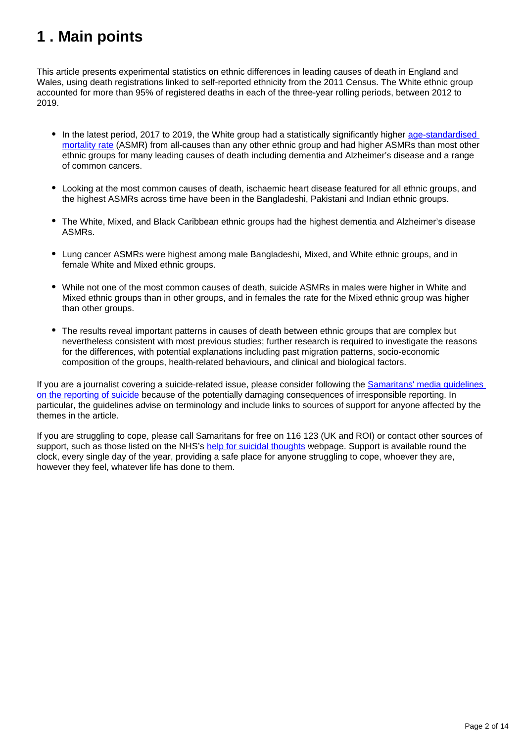## <span id="page-1-0"></span>**1 . Main points**

This article presents experimental statistics on ethnic differences in leading causes of death in England and Wales, using death registrations linked to self-reported ethnicity from the 2011 Census. The White ethnic group accounted for more than 95% of registered deaths in each of the three-year rolling periods, between 2012 to 2019.

- In the latest period, 2017 to 2019, the White group had a statistically significantly higher age-standardised [mortality rate](https://www.ons.gov.uk/peoplepopulationandcommunity/birthsdeathsandmarriages/deaths/articles/mortalityfromleadingcausesofdeathbyethnicgroupenglandandwales/2012to2019#glossary) (ASMR) from all-causes than any other ethnic group and had higher ASMRs than most other ethnic groups for many leading causes of death including dementia and Alzheimer's disease and a range of common cancers.
- Looking at the most common causes of death, ischaemic heart disease featured for all ethnic groups, and the highest ASMRs across time have been in the Bangladeshi, Pakistani and Indian ethnic groups.
- The White, Mixed, and Black Caribbean ethnic groups had the highest dementia and Alzheimer's disease ASMRs.
- Lung cancer ASMRs were highest among male Bangladeshi, Mixed, and White ethnic groups, and in female White and Mixed ethnic groups.
- While not one of the most common causes of death, suicide ASMRs in males were higher in White and Mixed ethnic groups than in other groups, and in females the rate for the Mixed ethnic group was higher than other groups.
- The results reveal important patterns in causes of death between ethnic groups that are complex but nevertheless consistent with most previous studies; further research is required to investigate the reasons for the differences, with potential explanations including past migration patterns, socio-economic composition of the groups, health-related behaviours, and clinical and biological factors.

If you are a journalist covering a suicide-related issue, please consider following the [Samaritans' media guidelines](https://www.samaritans.org/about-samaritans/media-guidelines/)  [on the reporting of suicide](https://www.samaritans.org/about-samaritans/media-guidelines/) because of the potentially damaging consequences of irresponsible reporting. In particular, the guidelines advise on terminology and include links to sources of support for anyone affected by the themes in the article.

If you are struggling to cope, please call Samaritans for free on 116 123 (UK and ROI) or contact other sources of support, such as those listed on the NHS's [help for suicidal thoughts](https://www.nhs.uk/mental-health/feelings-symptoms-behaviours/behaviours/help-for-suicidal-thoughts/) webpage. Support is available round the clock, every single day of the year, providing a safe place for anyone struggling to cope, whoever they are, however they feel, whatever life has done to them.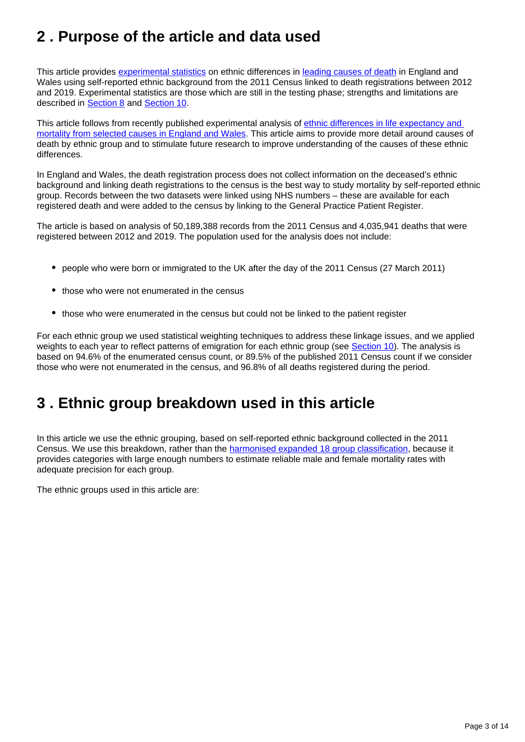## <span id="page-2-0"></span>**2 . Purpose of the article and data used**

This article provides [experimental statistics](https://www.ons.gov.uk/methodology/methodologytopicsandstatisticalconcepts/guidetoexperimentalstatistics) on ethnic differences in [leading causes of death](https://www.ons.gov.uk/peoplepopulationandcommunity/birthsdeathsandmarriages/deaths/methodologies/userguidetomortalitystatistics/leadingcausesofdeathinenglandandwalesrevised2016) in England and Wales using self-reported ethnic background from the 2011 Census linked to death registrations between 2012 and 2019. Experimental statistics are those which are still in the testing phase; strengths and limitations are described in **[Section 8](https://www.ons.gov.uk/peoplepopulationandcommunity/birthsdeathsandmarriages/deaths/articles/mortalityfromleadingcausesofdeathbyethnicgroupenglandandwales/2012to2019#strengths-and-limitations)** and **Section 10**.

This article follows from recently published experimental analysis of [ethnic differences in life expectancy and](https://www.ons.gov.uk/peoplepopulationandcommunity/birthsdeathsandmarriages/lifeexpectancies/articles/ethnicdifferencesinlifeexpectancyandmortalityfromselectedcausesinenglandandwales/2011to2014)  [mortality from selected causes in England and Wales.](https://www.ons.gov.uk/peoplepopulationandcommunity/birthsdeathsandmarriages/lifeexpectancies/articles/ethnicdifferencesinlifeexpectancyandmortalityfromselectedcausesinenglandandwales/2011to2014) This article aims to provide more detail around causes of death by ethnic group and to stimulate future research to improve understanding of the causes of these ethnic differences.

In England and Wales, the death registration process does not collect information on the deceased's ethnic background and linking death registrations to the census is the best way to study mortality by self-reported ethnic group. Records between the two datasets were linked using NHS numbers – these are available for each registered death and were added to the census by linking to the General Practice Patient Register.

The article is based on analysis of 50,189,388 records from the 2011 Census and 4,035,941 deaths that were registered between 2012 and 2019. The population used for the analysis does not include:

- people who were born or immigrated to the UK after the day of the 2011 Census (27 March 2011)
- those who were not enumerated in the census
- those who were enumerated in the census but could not be linked to the patient register

For each ethnic group we used statistical weighting techniques to address these linkage issues, and we applied weights to each year to reflect patterns of emigration for each ethnic group (see [Section 10\)](https://www.ons.gov.uk/peoplepopulationandcommunity/birthsdeathsandmarriages/deaths/articles/mortalityfromleadingcausesofdeathbyethnicgroupenglandandwales/2012to2019#data-sources-and-quality). The analysis is based on 94.6% of the enumerated census count, or 89.5% of the published 2011 Census count if we consider those who were not enumerated in the census, and 96.8% of all deaths registered during the period.

## <span id="page-2-1"></span>**3 . Ethnic group breakdown used in this article**

In this article we use the ethnic grouping, based on self-reported ethnic background collected in the 2011 Census. We use this breakdown, rather than the [harmonised expanded 18 group classification,](https://gss.civilservice.gov.uk/policy-store/ethnicity/) because it provides categories with large enough numbers to estimate reliable male and female mortality rates with adequate precision for each group.

The ethnic groups used in this article are: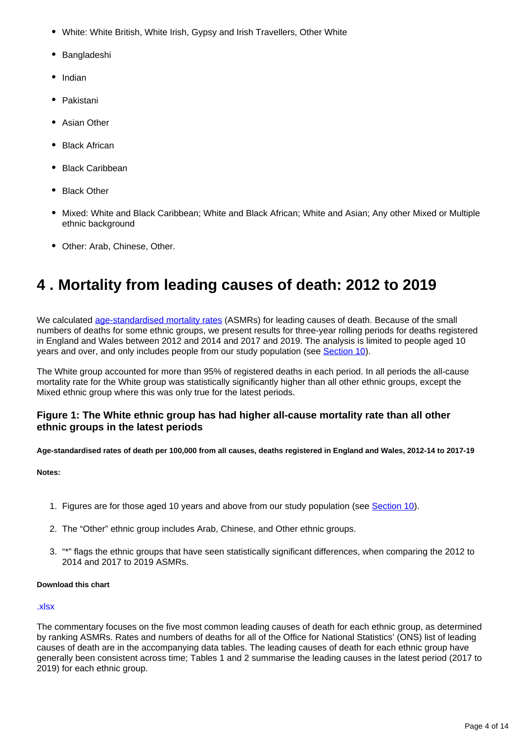- White: White British, White Irish, Gypsy and Irish Travellers, Other White
- Bangladeshi
- Indian
- Pakistani
- Asian Other
- Black African
- Black Caribbean
- Black Other
- Mixed: White and Black Caribbean; White and Black African; White and Asian; Any other Mixed or Multiple ethnic background
- Other: Arab, Chinese, Other.

## <span id="page-3-0"></span>**4 . Mortality from leading causes of death: 2012 to 2019**

We calculated [age-standardised mortality rates](https://www.ons.gov.uk/peoplepopulationandcommunity/birthsdeathsandmarriages/deaths/articles/mortalityfromleadingcausesofdeathbyethnicgroupenglandandwales/2012to2019#glossary) (ASMRs) for leading causes of death. Because of the small numbers of deaths for some ethnic groups, we present results for three-year rolling periods for deaths registered in England and Wales between 2012 and 2014 and 2017 and 2019. The analysis is limited to people aged 10 years and over, and only includes people from our study population (see [Section 10](https://www.ons.gov.uk/peoplepopulationandcommunity/birthsdeathsandmarriages/deaths/articles/mortalityfromleadingcausesofdeathbyethnicgroupenglandandwales/2012to2019#data-sources-and-quality)).

The White group accounted for more than 95% of registered deaths in each period. In all periods the all-cause mortality rate for the White group was statistically significantly higher than all other ethnic groups, except the Mixed ethnic group where this was only true for the latest periods.

### **Figure 1: The White ethnic group has had higher all-cause mortality rate than all other ethnic groups in the latest periods**

**Age-standardised rates of death per 100,000 from all causes, deaths registered in England and Wales, 2012-14 to 2017-19**

#### **Notes:**

- 1. Figures are for those aged 10 years and above from our study population (see [Section 10\)](https://www.ons.gov.uk/peoplepopulationandcommunity/birthsdeathsandmarriages/deaths/articles/mortalityfromleadingcausesofdeathbyethnicgroupenglandandwales/2012to2019#data-sources-and-quality).
- 2. The "Other" ethnic group includes Arab, Chinese, and Other ethnic groups.
- 3. "\*" flags the ethnic groups that have seen statistically significant differences, when comparing the 2012 to 2014 and 2017 to 2019 ASMRs.

#### **Download this chart**

#### [.xlsx](https://www.ons.gov.uk/visualisations/dvc1538/Fig1/datadownload.xlsx)

The commentary focuses on the five most common leading causes of death for each ethnic group, as determined by ranking ASMRs. Rates and numbers of deaths for all of the Office for National Statistics' (ONS) list of leading causes of death are in the accompanying data tables. The leading causes of death for each ethnic group have generally been consistent across time; Tables 1 and 2 summarise the leading causes in the latest period (2017 to 2019) for each ethnic group.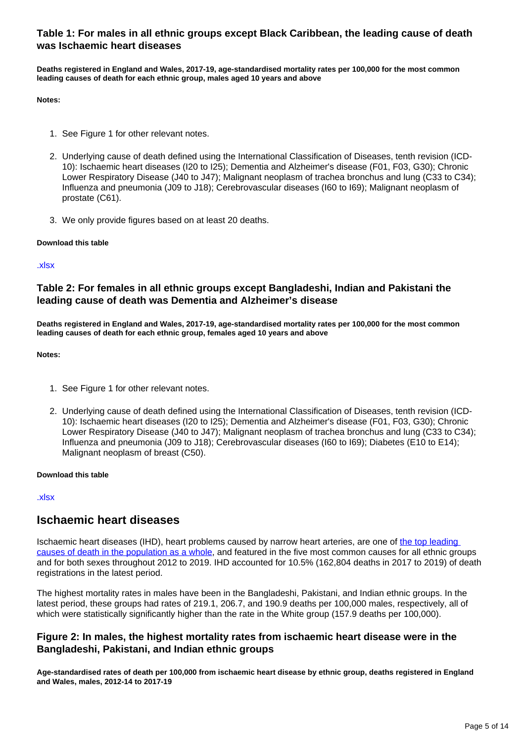### **Table 1: For males in all ethnic groups except Black Caribbean, the leading cause of death was Ischaemic heart diseases**

**Deaths registered in England and Wales, 2017-19, age-standardised mortality rates per 100,000 for the most common leading causes of death for each ethnic group, males aged 10 years and above**

**Notes:**

- 1. See Figure 1 for other relevant notes.
- 2. Underlying cause of death defined using the International Classification of Diseases, tenth revision (ICD-10): Ischaemic heart diseases (I20 to I25); Dementia and Alzheimer's disease (F01, F03, G30); Chronic Lower Respiratory Disease (J40 to J47); Malignant neoplasm of trachea bronchus and lung (C33 to C34); Influenza and pneumonia (J09 to J18); Cerebrovascular diseases (I60 to I69); Malignant neoplasm of prostate (C61).
- 3. We only provide figures based on at least 20 deaths.

#### **Download this table**

#### [.xlsx](https://www.ons.gov.uk/visualisations/dvc1538/Table1/datadownload.xlsx)

### **Table 2: For females in all ethnic groups except Bangladeshi, Indian and Pakistani the leading cause of death was Dementia and Alzheimer's disease**

**Deaths registered in England and Wales, 2017-19, age-standardised mortality rates per 100,000 for the most common leading causes of death for each ethnic group, females aged 10 years and above**

#### **Notes:**

- 1. See Figure 1 for other relevant notes.
- 2. Underlying cause of death defined using the International Classification of Diseases, tenth revision (ICD-10): Ischaemic heart diseases (I20 to I25); Dementia and Alzheimer's disease (F01, F03, G30); Chronic Lower Respiratory Disease (J40 to J47); Malignant neoplasm of trachea bronchus and lung (C33 to C34); Influenza and pneumonia (J09 to J18); Cerebrovascular diseases (I60 to I69); Diabetes (E10 to E14); Malignant neoplasm of breast (C50).

#### **Download this table**

[.xlsx](https://www.ons.gov.uk/visualisations/dvc1538/Table2/datadownload.xlsx)

### **Ischaemic heart diseases**

Ischaemic heart diseases (IHD), heart problems caused by narrow heart arteries, are one of the top leading [causes of death in the population as a whole,](https://www.ons.gov.uk/peoplepopulationandcommunity/birthsdeathsandmarriages/deaths/bulletins/deathsregistrationsummarytables/2020#leading-causes-of-death) and featured in the five most common causes for all ethnic groups and for both sexes throughout 2012 to 2019. IHD accounted for 10.5% (162,804 deaths in 2017 to 2019) of death registrations in the latest period.

The highest mortality rates in males have been in the Bangladeshi, Pakistani, and Indian ethnic groups. In the latest period, these groups had rates of 219.1, 206.7, and 190.9 deaths per 100,000 males, respectively, all of which were statistically significantly higher than the rate in the White group (157.9 deaths per 100,000).

### **Figure 2: In males, the highest mortality rates from ischaemic heart disease were in the Bangladeshi, Pakistani, and Indian ethnic groups**

**Age-standardised rates of death per 100,000 from ischaemic heart disease by ethnic group, deaths registered in England and Wales, males, 2012-14 to 2017-19**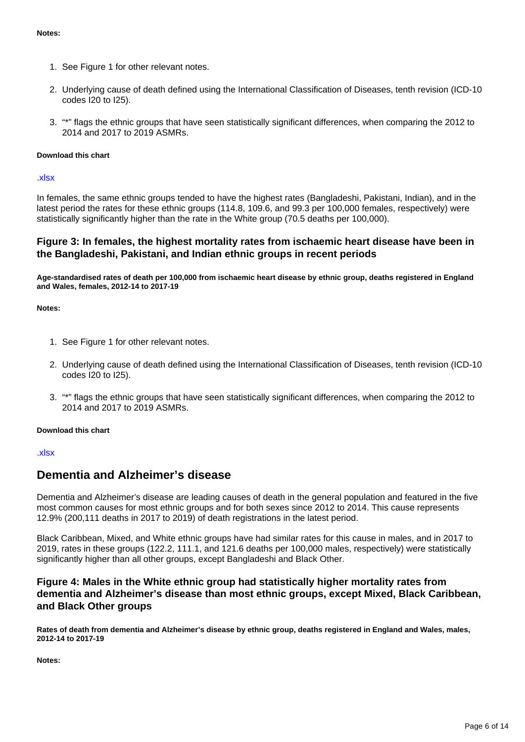- 1. See Figure 1 for other relevant notes.
- 2. Underlying cause of death defined using the International Classification of Diseases, tenth revision (ICD-10 codes I20 to I25).
- 3. "\*" flags the ethnic groups that have seen statistically significant differences, when comparing the 2012 to 2014 and 2017 to 2019 ASMRs.

#### **Download this chart**

[.xlsx](https://www.ons.gov.uk/visualisations/dvc1538/Fig2/datadownload.xlsx)

In females, the same ethnic groups tended to have the highest rates (Bangladeshi, Pakistani, Indian), and in the latest period the rates for these ethnic groups (114.8, 109.6, and 99.3 per 100,000 females, respectively) were statistically significantly higher than the rate in the White group (70.5 deaths per 100,000).

### **Figure 3: In females, the highest mortality rates from ischaemic heart disease have been in the Bangladeshi, Pakistani, and Indian ethnic groups in recent periods**

**Age-standardised rates of death per 100,000 from ischaemic heart disease by ethnic group, deaths registered in England and Wales, females, 2012-14 to 2017-19**

**Notes:**

- 1. See Figure 1 for other relevant notes.
- 2. Underlying cause of death defined using the International Classification of Diseases, tenth revision (ICD-10 codes I20 to I25).
- 3. "\*" flags the ethnic groups that have seen statistically significant differences, when comparing the 2012 to 2014 and 2017 to 2019 ASMRs.

#### **Download this chart**

#### [.xlsx](https://www.ons.gov.uk/visualisations/dvc1538/Fig3/datadownload.xlsx)

### **Dementia and Alzheimer's disease**

Dementia and Alzheimer's disease are leading causes of death in the general population and featured in the five most common causes for most ethnic groups and for both sexes since 2012 to 2014. This cause represents 12.9% (200,111 deaths in 2017 to 2019) of death registrations in the latest period.

Black Caribbean, Mixed, and White ethnic groups have had similar rates for this cause in males, and in 2017 to 2019, rates in these groups (122.2, 111.1, and 121.6 deaths per 100,000 males, respectively) were statistically significantly higher than all other groups, except Bangladeshi and Black Other.

### **Figure 4: Males in the White ethnic group had statistically higher mortality rates from dementia and Alzheimer's disease than most ethnic groups, except Mixed, Black Caribbean, and Black Other groups**

**Rates of death from dementia and Alzheimer's disease by ethnic group, deaths registered in England and Wales, males, 2012-14 to 2017-19**

**Notes:**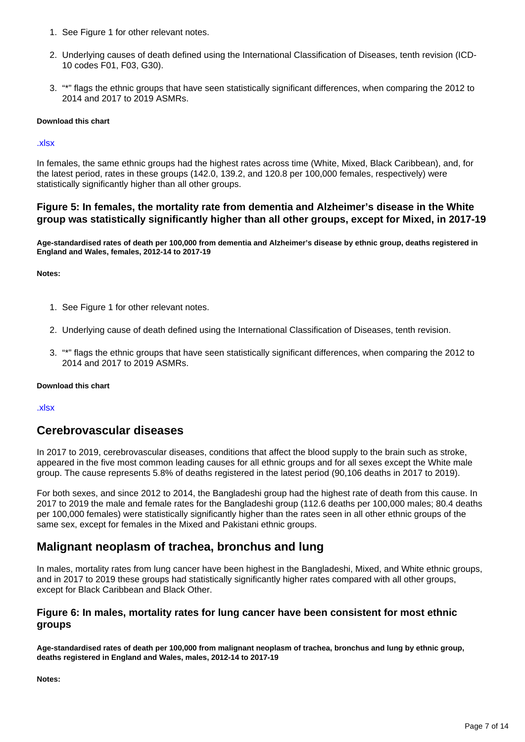- 1. See Figure 1 for other relevant notes.
- 2. Underlying causes of death defined using the International Classification of Diseases, tenth revision (ICD-10 codes F01, F03, G30).
- 3. "\*" flags the ethnic groups that have seen statistically significant differences, when comparing the 2012 to 2014 and 2017 to 2019 ASMRs.

#### **Download this chart**

#### [.xlsx](https://www.ons.gov.uk/visualisations/dvc1538/Fig4/datadownload.xlsx)

In females, the same ethnic groups had the highest rates across time (White, Mixed, Black Caribbean), and, for the latest period, rates in these groups (142.0, 139.2, and 120.8 per 100,000 females, respectively) were statistically significantly higher than all other groups.

#### **Figure 5: In females, the mortality rate from dementia and Alzheimer's disease in the White group was statistically significantly higher than all other groups, except for Mixed, in 2017-19**

**Age-standardised rates of death per 100,000 from dementia and Alzheimer's disease by ethnic group, deaths registered in England and Wales, females, 2012-14 to 2017-19**

**Notes:**

- 1. See Figure 1 for other relevant notes.
- 2. Underlying cause of death defined using the International Classification of Diseases, tenth revision.
- 3. "\*" flags the ethnic groups that have seen statistically significant differences, when comparing the 2012 to 2014 and 2017 to 2019 ASMRs.

#### **Download this chart**

#### [.xlsx](https://www.ons.gov.uk/visualisations/dvc1538/Fig5/datadownload.xlsx)

### **Cerebrovascular diseases**

In 2017 to 2019, cerebrovascular diseases, conditions that affect the blood supply to the brain such as stroke, appeared in the five most common leading causes for all ethnic groups and for all sexes except the White male group. The cause represents 5.8% of deaths registered in the latest period (90,106 deaths in 2017 to 2019).

For both sexes, and since 2012 to 2014, the Bangladeshi group had the highest rate of death from this cause. In 2017 to 2019 the male and female rates for the Bangladeshi group (112.6 deaths per 100,000 males; 80.4 deaths per 100,000 females) were statistically significantly higher than the rates seen in all other ethnic groups of the same sex, except for females in the Mixed and Pakistani ethnic groups.

## **Malignant neoplasm of trachea, bronchus and lung**

In males, mortality rates from lung cancer have been highest in the Bangladeshi, Mixed, and White ethnic groups, and in 2017 to 2019 these groups had statistically significantly higher rates compared with all other groups, except for Black Caribbean and Black Other.

### **Figure 6: In males, mortality rates for lung cancer have been consistent for most ethnic groups**

**Age-standardised rates of death per 100,000 from malignant neoplasm of trachea, bronchus and lung by ethnic group, deaths registered in England and Wales, males, 2012-14 to 2017-19**

**Notes:**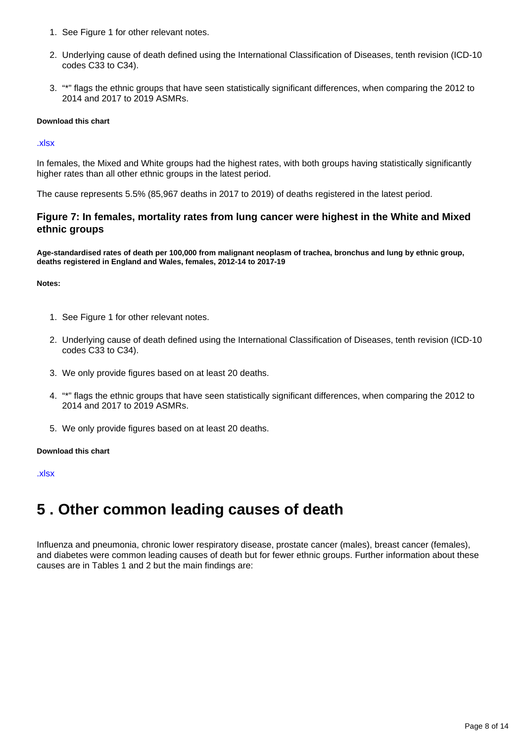- 1. See Figure 1 for other relevant notes.
- 2. Underlying cause of death defined using the International Classification of Diseases, tenth revision (ICD-10 codes C33 to C34).
- 3. "\*" flags the ethnic groups that have seen statistically significant differences, when comparing the 2012 to 2014 and 2017 to 2019 ASMRs.

#### **Download this chart**

#### [.xlsx](https://www.ons.gov.uk/visualisations/dvc1538/Fig6/datadownload.xlsx)

In females, the Mixed and White groups had the highest rates, with both groups having statistically significantly higher rates than all other ethnic groups in the latest period.

The cause represents 5.5% (85,967 deaths in 2017 to 2019) of deaths registered in the latest period.

### **Figure 7: In females, mortality rates from lung cancer were highest in the White and Mixed ethnic groups**

**Age-standardised rates of death per 100,000 from malignant neoplasm of trachea, bronchus and lung by ethnic group, deaths registered in England and Wales, females, 2012-14 to 2017-19**

#### **Notes:**

- 1. See Figure 1 for other relevant notes.
- 2. Underlying cause of death defined using the International Classification of Diseases, tenth revision (ICD-10 codes C33 to C34).
- 3. We only provide figures based on at least 20 deaths.
- 4. "\*" flags the ethnic groups that have seen statistically significant differences, when comparing the 2012 to 2014 and 2017 to 2019 ASMRs.
- 5. We only provide figures based on at least 20 deaths.

#### **Download this chart**

#### [.xlsx](https://www.ons.gov.uk/visualisations/dvc1538/Fig7/datadownload.xlsx)

## <span id="page-7-0"></span>**5 . Other common leading causes of death**

Influenza and pneumonia, chronic lower respiratory disease, prostate cancer (males), breast cancer (females), and diabetes were common leading causes of death but for fewer ethnic groups. Further information about these causes are in Tables 1 and 2 but the main findings are: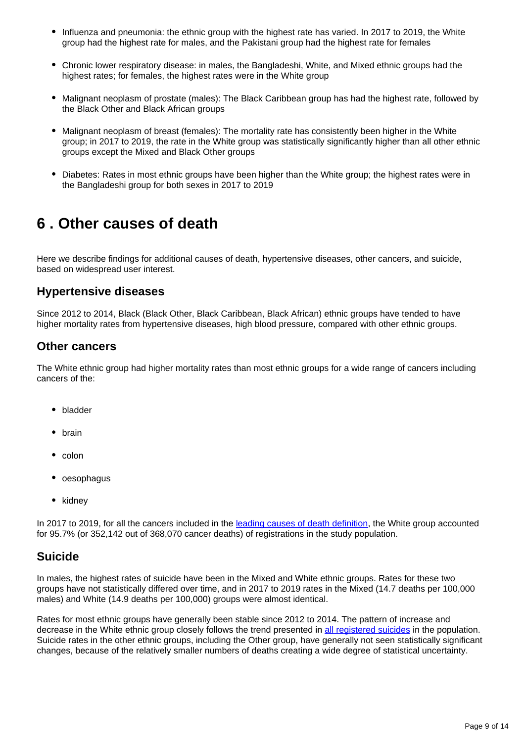- Influenza and pneumonia: the ethnic group with the highest rate has varied. In 2017 to 2019, the White group had the highest rate for males, and the Pakistani group had the highest rate for females
- Chronic lower respiratory disease: in males, the Bangladeshi, White, and Mixed ethnic groups had the highest rates; for females, the highest rates were in the White group
- Malignant neoplasm of prostate (males): The Black Caribbean group has had the highest rate, followed by the Black Other and Black African groups
- Malignant neoplasm of breast (females): The mortality rate has consistently been higher in the White group; in 2017 to 2019, the rate in the White group was statistically significantly higher than all other ethnic groups except the Mixed and Black Other groups
- Diabetes: Rates in most ethnic groups have been higher than the White group; the highest rates were in the Bangladeshi group for both sexes in 2017 to 2019

## <span id="page-8-0"></span>**6 . Other causes of death**

Here we describe findings for additional causes of death, hypertensive diseases, other cancers, and suicide, based on widespread user interest.

## **Hypertensive diseases**

Since 2012 to 2014, Black (Black Other, Black Caribbean, Black African) ethnic groups have tended to have higher mortality rates from hypertensive diseases, high blood pressure, compared with other ethnic groups.

## **Other cancers**

The White ethnic group had higher mortality rates than most ethnic groups for a wide range of cancers including cancers of the:

- bladder
- brain
- $\bullet$  colon
- oesophagus
- kidney

In 2017 to 2019, for all the cancers included in the [leading causes of death definition](https://www.ons.gov.uk/peoplepopulationandcommunity/birthsdeathsandmarriages/deaths/methodologies/userguidetomortalitystatistics/leadingcausesofdeathinenglandandwalesrevised2016), the White group accounted for 95.7% (or 352,142 out of 368,070 cancer deaths) of registrations in the study population.

## **Suicide**

In males, the highest rates of suicide have been in the Mixed and White ethnic groups. Rates for these two groups have not statistically differed over time, and in 2017 to 2019 rates in the Mixed (14.7 deaths per 100,000 males) and White (14.9 deaths per 100,000) groups were almost identical.

Rates for most ethnic groups have generally been stable since 2012 to 2014. The pattern of increase and decrease in the White ethnic group closely follows the trend presented in [all registered suicides](https://www.ons.gov.uk/peoplepopulationandcommunity/birthsdeathsandmarriages/deaths/bulletins/suicidesintheunitedkingdom/previousReleases) in the population. Suicide rates in the other ethnic groups, including the Other group, have generally not seen statistically significant changes, because of the relatively smaller numbers of deaths creating a wide degree of statistical uncertainty.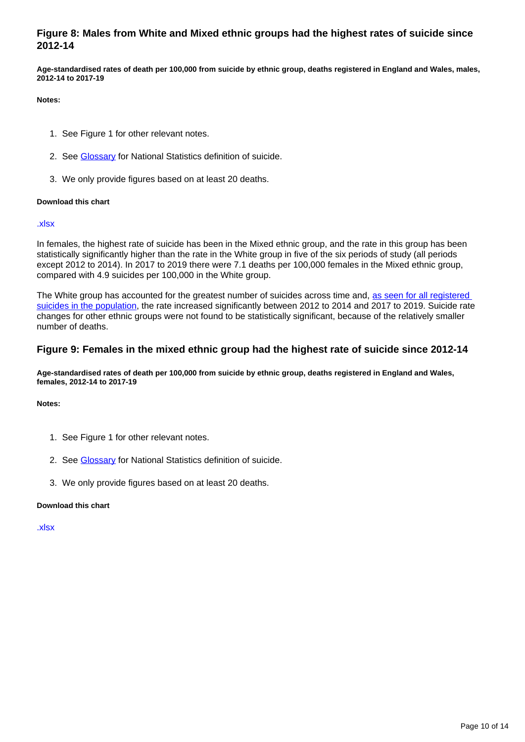### **Figure 8: Males from White and Mixed ethnic groups had the highest rates of suicide since 2012-14**

**Age-standardised rates of death per 100,000 from suicide by ethnic group, deaths registered in England and Wales, males, 2012-14 to 2017-19**

**Notes:**

- 1. See Figure 1 for other relevant notes.
- 2. See [Glossary](https://www.ons.gov.uk/peoplepopulationandcommunity/birthsdeathsandmarriages/deaths/articles/mortalityfromleadingcausesofdeathbyethnicgroupenglandandwales/2012to2019#glossary) for National Statistics definition of suicide.
- 3. We only provide figures based on at least 20 deaths.

#### **Download this chart**

#### [.xlsx](https://www.ons.gov.uk/visualisations/dvc1538/Fig8/datadownload.xlsx)

In females, the highest rate of suicide has been in the Mixed ethnic group, and the rate in this group has been statistically significantly higher than the rate in the White group in five of the six periods of study (all periods except 2012 to 2014). In 2017 to 2019 there were 7.1 deaths per 100,000 females in the Mixed ethnic group, compared with 4.9 suicides per 100,000 in the White group.

The White group has accounted for the greatest number of suicides across time and, as seen for all registered [suicides in the population](https://www.ons.gov.uk/peoplepopulationandcommunity/birthsdeathsandmarriages/deaths/bulletins/suicidesintheunitedkingdom/previousReleases), the rate increased significantly between 2012 to 2014 and 2017 to 2019. Suicide rate changes for other ethnic groups were not found to be statistically significant, because of the relatively smaller number of deaths.

#### **Figure 9: Females in the mixed ethnic group had the highest rate of suicide since 2012-14**

**Age-standardised rates of death per 100,000 from suicide by ethnic group, deaths registered in England and Wales, females, 2012-14 to 2017-19**

**Notes:**

- 1. See Figure 1 for other relevant notes.
- 2. See [Glossary](https://www.ons.gov.uk/peoplepopulationandcommunity/birthsdeathsandmarriages/deaths/articles/mortalityfromleadingcausesofdeathbyethnicgroupenglandandwales/2012to2019#glossary) for National Statistics definition of suicide.
- 3. We only provide figures based on at least 20 deaths.

#### **Download this chart**

[.xlsx](https://www.ons.gov.uk/visualisations/dvc1538/Fig9/datadownload.xlsx)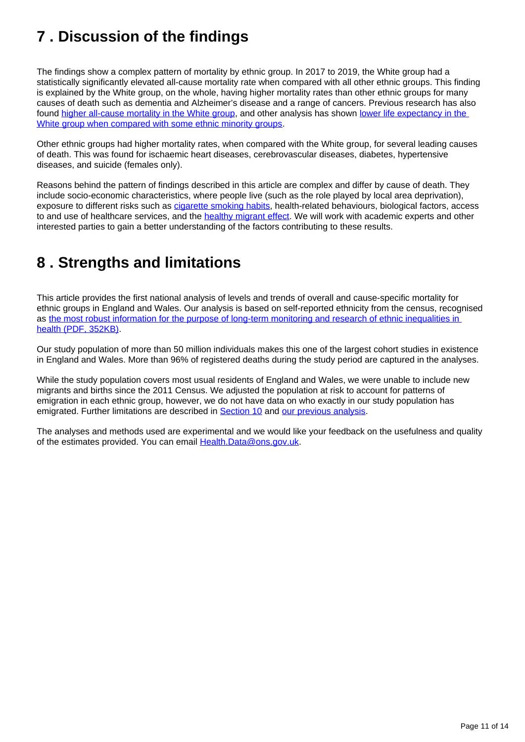## <span id="page-10-0"></span>**7 . Discussion of the findings**

The findings show a complex pattern of mortality by ethnic group. In 2017 to 2019, the White group had a statistically significantly elevated all-cause mortality rate when compared with all other ethnic groups. This finding is explained by the White group, on the whole, having higher mortality rates than other ethnic groups for many causes of death such as dementia and Alzheimer's disease and a range of cancers. Previous research has also found [higher all-cause mortality in the White group,](https://journals.plos.org/plosmedicine/article?id=10.1371/journal.pmed.1002515) and other analysis has shown [lower life expectancy in the](https://www.ons.gov.uk/peoplepopulationandcommunity/birthsdeathsandmarriages/lifeexpectancies/articles/ethnicdifferencesinlifeexpectancyandmortalityfromselectedcausesinenglandandwales/2011to2014#causes-of-complex-patterns-in-life-expectancy)  [White group when compared with some ethnic minority groups](https://www.ons.gov.uk/peoplepopulationandcommunity/birthsdeathsandmarriages/lifeexpectancies/articles/ethnicdifferencesinlifeexpectancyandmortalityfromselectedcausesinenglandandwales/2011to2014#causes-of-complex-patterns-in-life-expectancy).

Other ethnic groups had higher mortality rates, when compared with the White group, for several leading causes of death. This was found for ischaemic heart diseases, cerebrovascular diseases, diabetes, hypertensive diseases, and suicide (females only).

Reasons behind the pattern of findings described in this article are complex and differ by cause of death. They include socio-economic characteristics, where people live (such as the role played by local area deprivation), exposure to different risks such as *[cigarette smoking habits](https://www.ons.gov.uk/peoplepopulationandcommunity/healthandsocialcare/healthandlifeexpectancies/datasets/smokinghabitsintheukanditsconstituentcountries)*, health-related behaviours, biological factors, access to and use of healthcare services, and the [healthy migrant effect](https://www.ons.gov.uk/peoplepopulationandcommunity/birthsdeathsandmarriages/lifeexpectancies/articles/ethnicdifferencesinlifeexpectancyandmortalityfromselectedcausesinenglandandwales/2011to2014#causes-of-complex-patterns-in-life-expectancy). We will work with academic experts and other interested parties to gain a better understanding of the factors contributing to these results.

## <span id="page-10-1"></span>**8 . Strengths and limitations**

This article provides the first national analysis of levels and trends of overall and cause-specific mortality for ethnic groups in England and Wales. Our analysis is based on self-reported ethnicity from the census, recognised as [the most robust information for the purpose of long-term monitoring and research of ethnic inequalities in](https://www.gov.scot/binaries/content/documents/govscot/publications/research-and-analysis/2020/09/expert-reference-group-on-covid-19-and-ethnicity-recommendations-to-scottish-government/documents/improving-data-and-evidence-on-ethnic-inequalities-in-health-initial-advice-and-recommendations-from-the-expert-reference-group-on-covid-19-and-ethnicity/improving-data-and-evidence-on-ethnic-inequalities-in-health-initial-advice-and-recommendations-from-the-expert-reference-group-on-covid-19-and-ethnicity/govscot%3Adocument/Improving%2BData%2Band%2BEvidence%2Bon%2BEthnic%2BInequalities%2Bin%2BHealth%2B-%2BInitial%2BAdvice%2Band%2BRecommendations%2Bfrom%2Bthe%2BExpert%2BReference%2BGroup%2Bon%2BCOVID-19%2Band%2BEthnicity.pdf?forceDownload=true)  [health \(PDF, 352KB\).](https://www.gov.scot/binaries/content/documents/govscot/publications/research-and-analysis/2020/09/expert-reference-group-on-covid-19-and-ethnicity-recommendations-to-scottish-government/documents/improving-data-and-evidence-on-ethnic-inequalities-in-health-initial-advice-and-recommendations-from-the-expert-reference-group-on-covid-19-and-ethnicity/improving-data-and-evidence-on-ethnic-inequalities-in-health-initial-advice-and-recommendations-from-the-expert-reference-group-on-covid-19-and-ethnicity/govscot%3Adocument/Improving%2BData%2Band%2BEvidence%2Bon%2BEthnic%2BInequalities%2Bin%2BHealth%2B-%2BInitial%2BAdvice%2Band%2BRecommendations%2Bfrom%2Bthe%2BExpert%2BReference%2BGroup%2Bon%2BCOVID-19%2Band%2BEthnicity.pdf?forceDownload=true)

Our study population of more than 50 million individuals makes this one of the largest cohort studies in existence in England and Wales. More than 96% of registered deaths during the study period are captured in the analyses.

While the study population covers most usual residents of England and Wales, we were unable to include new migrants and births since the 2011 Census. We adjusted the population at risk to account for patterns of emigration in each ethnic group, however, we do not have data on who exactly in our study population has emigrated. Further limitations are described in **[Section 10](https://www.ons.gov.uk/peoplepopulationandcommunity/birthsdeathsandmarriages/deaths/articles/mortalityfromleadingcausesofdeathbyethnicgroupenglandandwales/2012to2019#data-sources-and-quality) and our previous analysis**.

The analyses and methods used are experimental and we would like your feedback on the usefulness and quality of the estimates provided. You can email [Health.Data@ons.gov.uk](mailto:Health.Data@ons.gov.uk).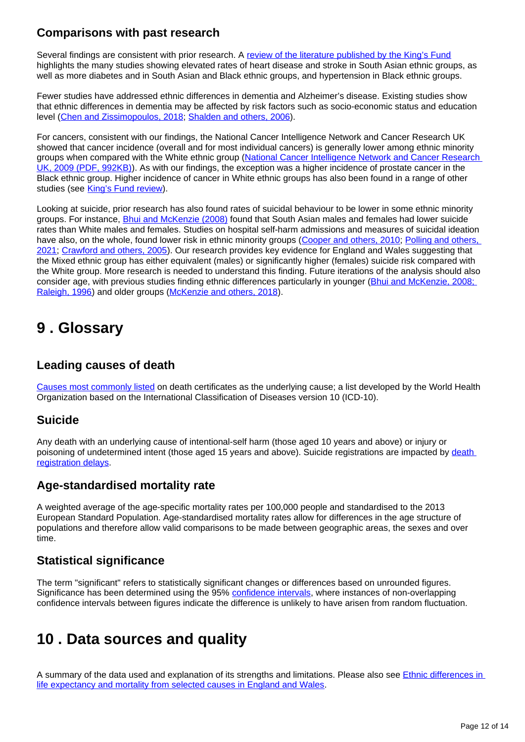## **Comparisons with past research**

Several findings are consistent with prior research. A [review of the literature published by the King's Fund](https://www.kingsfund.org.uk/publications/health-people-ethnic-minority-groups-england) highlights the many studies showing elevated rates of heart disease and stroke in South Asian ethnic groups, as well as more diabetes and in South Asian and Black ethnic groups, and hypertension in Black ethnic groups.

Fewer studies have addressed ethnic differences in dementia and Alzheimer's disease. Existing studies show that ethnic differences in dementia may be affected by risk factors such as socio-economic status and education level ([Chen and Zissimopoulos, 2018;](https://www.ncbi.nlm.nih.gov/pmc/articles/PMC6197734/) [Shalden and others, 2006](https://pubmed.ncbi.nlm.nih.gov/16776783/)).

For cancers, consistent with our findings, the National Cancer Intelligence Network and Cancer Research UK showed that cancer incidence (overall and for most individual cancers) is generally lower among ethnic minority groups when compared with the White ethnic group (National Cancer Intelligence Network and Cancer Research [UK, 2009 \(PDF, 992KB\)\)](http://www.ncin.org.uk/view?rid=75). As with our findings, the exception was a higher incidence of prostate cancer in the Black ethnic group. Higher incidence of cancer in White ethnic groups has also been found in a range of other studies (see [King's Fund review](https://www.kingsfund.org.uk/publications/health-people-ethnic-minority-groups-england)).

Looking at suicide, prior research has also found rates of suicidal behaviour to be lower in some ethnic minority groups. For instance, [Bhui and McKenzie \(2008\)](https://pubmed.ncbi.nlm.nih.gov/18378841/) found that South Asian males and females had lower suicide rates than White males and females. Studies on hospital self-harm admissions and measures of suicidal ideation have also, on the whole, found lower risk in ethnic minority groups [\(Cooper and others, 2010;](https://pubmed.ncbi.nlm.nih.gov/20807966/) Polling and others, [2021](https://link.springer.com/article/10.1007/s00127-021-02087-9); [Crawford and others, 2005\)](https://www.cambridge.org/core/journals/psychological-medicine/article/abs/suicidal-ideation-and-suicide-attempts-among-ethnic-minority-groups-in-england-results-of-a-national-household-survey/CEF674C5E6F302B32F00E6F2FE8AABAF). Our research provides key evidence for England and Wales suggesting that the Mixed ethnic group has either equivalent (males) or significantly higher (females) suicide risk compared with the White group. More research is needed to understand this finding. Future iterations of the analysis should also consider age, with previous studies finding ethnic differences particularly in younger (Bhui and McKenzie, 2008; [Raleigh, 1996](https://pubmed.ncbi.nlm.nih.gov/18378841/)) and older groups [\(McKenzie and others, 2018](https://www.cambridge.org/core/journals/the-british-journal-of-psychiatry/article/suicide-rates-in-people-of-south-asian-origin-in-england-and-wales-19932003/44E6C4AE386A83E99A65544FFC3C1B27)).

## <span id="page-11-0"></span>**9 . Glossary**

## **Leading causes of death**

[Causes most commonly listed](https://www.ons.gov.uk/peoplepopulationandcommunity/birthsdeathsandmarriages/deaths/methodologies/userguidetomortalitystatistics/leadingcausesofdeathinenglandandwalesrevised2016) on death certificates as the underlying cause; a list developed by the World Health Organization based on the International Classification of Diseases version 10 (ICD-10).

## **Suicide**

Any death with an underlying cause of intentional-self harm (those aged 10 years and above) or injury or poisoning of undetermined intent (those aged 15 years and above). Suicide registrations are impacted by death [registration delays.](https://www.ons.gov.uk/peoplepopulationandcommunity/birthsdeathsandmarriages/deaths/bulletins/suicidesintheunitedkingdom/2019registrations#registration-delays)

## **Age-standardised mortality rate**

A weighted average of the age-specific mortality rates per 100,000 people and standardised to the 2013 European Standard Population. Age-standardised mortality rates allow for differences in the age structure of populations and therefore allow valid comparisons to be made between geographic areas, the sexes and over time.

## **Statistical significance**

The term "significant" refers to statistically significant changes or differences based on unrounded figures. Significance has been determined using the 95% [confidence intervals,](https://www.ons.gov.uk/methodology/methodologytopicsandstatisticalconcepts/uncertaintyandhowwemeasureit#confidence-interval) where instances of non-overlapping confidence intervals between figures indicate the difference is unlikely to have arisen from random fluctuation.

## <span id="page-11-1"></span>**10 . Data sources and quality**

A summary of the data used and explanation of its strengths and limitations. Please also see *Ethnic differences in* [life expectancy and mortality from selected causes in England and Wales.](https://www.ons.gov.uk/peoplepopulationandcommunity/birthsdeathsandmarriages/lifeexpectancies/articles/ethnicdifferencesinlifeexpectancyandmortalityfromselectedcausesinenglandandwales/2011to2014#causes-of-complex-patterns-in-life-expectancy)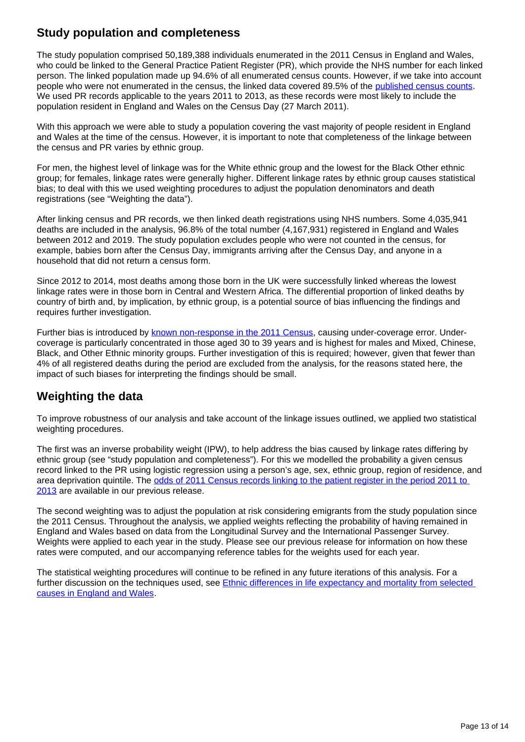## **Study population and completeness**

The study population comprised 50,189,388 individuals enumerated in the 2011 Census in England and Wales, who could be linked to the General Practice Patient Register (PR), which provide the NHS number for each linked person. The linked population made up 94.6% of all enumerated census counts. However, if we take into account people who were not enumerated in the census, the linked data covered 89.5% of the [published census counts](https://www.ons.gov.uk/census/2011census/howourcensusworks/howwetookthe2011census/howweprocessedtheinformation/coverageassessmentandadjustmentprocesses). We used PR records applicable to the years 2011 to 2013, as these records were most likely to include the population resident in England and Wales on the Census Day (27 March 2011).

With this approach we were able to study a population covering the vast majority of people resident in England and Wales at the time of the census. However, it is important to note that completeness of the linkage between the census and PR varies by ethnic group.

For men, the highest level of linkage was for the White ethnic group and the lowest for the Black Other ethnic group; for females, linkage rates were generally higher. Different linkage rates by ethnic group causes statistical bias; to deal with this we used weighting procedures to adjust the population denominators and death registrations (see "Weighting the data").

After linking census and PR records, we then linked death registrations using NHS numbers. Some 4,035,941 deaths are included in the analysis, 96.8% of the total number (4,167,931) registered in England and Wales between 2012 and 2019. The study population excludes people who were not counted in the census, for example, babies born after the Census Day, immigrants arriving after the Census Day, and anyone in a household that did not return a census form.

Since 2012 to 2014, most deaths among those born in the UK were successfully linked whereas the lowest linkage rates were in those born in Central and Western Africa. The differential proportion of linked deaths by country of birth and, by implication, by ethnic group, is a potential source of bias influencing the findings and requires further investigation.

Further bias is introduced by [known non-response in the 2011 Census](http://www.ons.gov.uk/ons/guide-method/census/2011/census-data/2011-census-user-guide/quality-and-methods/methods/coverage-assessment-and-adjustment-methods/census-coverage-survey--ccs-/index.html), causing under-coverage error. Undercoverage is particularly concentrated in those aged 30 to 39 years and is highest for males and Mixed, Chinese, Black, and Other Ethnic minority groups. Further investigation of this is required; however, given that fewer than 4% of all registered deaths during the period are excluded from the analysis, for the reasons stated here, the impact of such biases for interpreting the findings should be small.

## **Weighting the data**

To improve robustness of our analysis and take account of the linkage issues outlined, we applied two statistical weighting procedures.

The first was an inverse probability weight (IPW), to help address the bias caused by linkage rates differing by ethnic group (see "study population and completeness"). For this we modelled the probability a given census record linked to the PR using logistic regression using a person's age, sex, ethnic group, region of residence, and area deprivation quintile. The [odds of 2011 Census records linking to the patient register in the period 2011 to](https://www.ons.gov.uk/peoplepopulationandcommunity/birthsdeathsandmarriages/lifeexpectancies/datasets/oddsof2011censusrecordslinkingtothepatientregister)  [2013](https://www.ons.gov.uk/peoplepopulationandcommunity/birthsdeathsandmarriages/lifeexpectancies/datasets/oddsof2011censusrecordslinkingtothepatientregister) are available in our previous release.

The second weighting was to adjust the population at risk considering emigrants from the study population since the 2011 Census. Throughout the analysis, we applied weights reflecting the probability of having remained in England and Wales based on data from the Longitudinal Survey and the International Passenger Survey. Weights were applied to each year in the study. Please see our previous release for information on how these rates were computed, and our accompanying reference tables for the weights used for each year.

The statistical weighting procedures will continue to be refined in any future iterations of this analysis. For a further discussion on the techniques used, see Ethnic differences in life expectancy and mortality from selected [causes in England and Wales.](https://www.ons.gov.uk/peoplepopulationandcommunity/birthsdeathsandmarriages/lifeexpectancies/articles/ethnicdifferencesinlifeexpectancyandmortalityfromselectedcausesinenglandandwales/2011to2014#causes-of-complex-patterns-in-life-expectancy)